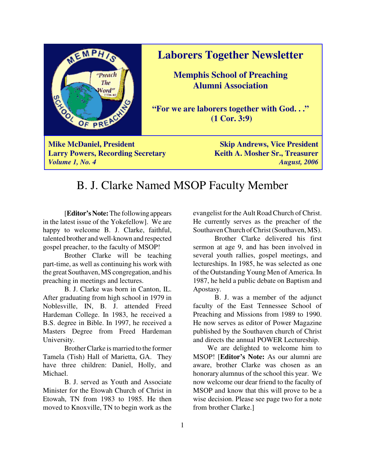

### **Laborers Together Newsletter**

**Memphis School of Preaching Alumni Association**

**"For we are laborers together with God. . ." (1 Cor. 3:9)**

# B. J. Clarke Named MSOP Faculty Member

[**Editor's Note:** The following appears in the latest issue of the Yokefellow]. We are happy to welcome B. J. Clarke, faithful, talented brother and well-known and respected gospel preacher, to the faculty of MSOP!

Brother Clarke will be teaching part-time, as well as continuing his work with the great Southaven, MS congregation, and his preaching in meetings and lectures.

B. J. Clarke was born in Canton, IL. After graduating from high school in 1979 in Noblesville, IN, B. J. attended Freed Hardeman College. In 1983, he received a B.S. degree in Bible. In 1997, he received a Masters Degree from Freed Hardeman University.

Brother Clarke is married to the former Tamela (Tish) Hall of Marietta, GA. They have three children: Daniel, Holly, and Michael.

B. J. served as Youth and Associate Minister for the Etowah Church of Christ in Etowah, TN from 1983 to 1985. He then moved to Knoxville, TN to begin work as the

evangelist for the Ault Road Church of Christ. He currently serves as the preacher of the Southaven Church of Christ (Southaven, MS).

Brother Clarke delivered his first sermon at age 9, and has been involved in several youth rallies, gospel meetings, and lectureships. In 1985, he was selected as one of the Outstanding Young Men of America. In 1987, he held a public debate on Baptism and Apostasy.

B. J. was a member of the adjunct faculty of the East Tennessee School of Preaching and Missions from 1989 to 1990. He now serves as editor of Power Magazine published by the Southaven church of Christ and directs the annual POWER Lectureship.

 We are delighted to welcome him to MSOP! [**Editor's Note:** As our alumni are aware, brother Clarke was chosen as an honorary alumnus of the school this year. We now welcome our dear friend to the faculty of MSOP and know that this will prove to be a wise decision. Please see page two for a note from brother Clarke.]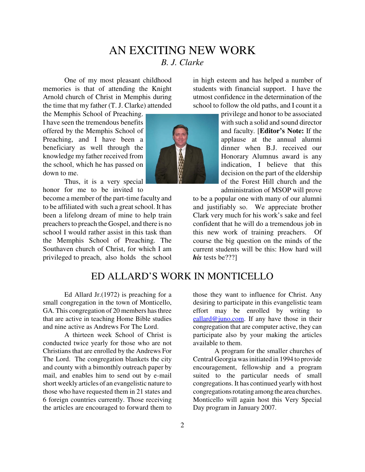# AN EXCITING NEW WORK *B. J. Clarke*

One of my most pleasant childhood memories is that of attending the Knight Arnold church of Christ in Memphis during the time that my father (T. J. Clarke) attended

the Memphis School of Preaching. I have seen the tremendous benefits offered by the Memphis School of Preaching, and I have been a beneficiary as well through the knowledge my father received from the school, which he has passed on down to me.



Thus, it is a very special honor for me to be invited to

become a member of the part-time faculty and to be affiliated with such a great school. It has been a lifelong dream of mine to help train preachers to preach the Gospel, and there is no school I would rather assist in this task than the Memphis School of Preaching. The Southaven church of Christ, for which I am privileged to preach, also holds the school

in high esteem and has helped a number of students with financial support. I have the utmost confidence in the determination of the school to follow the old paths, and I count it a

> privilege and honor to be associated with such a solid and sound director and faculty. [**Editor's Note:** If the applause at the annual alumni dinner when B.J. received our Honorary Alumnus award is any indication, I believe that this decision on the part of the eldership of the Forest Hill church and the administration of MSOP will prove

to be a popular one with many of our alumni and justifiably so. We appreciate brother Clark very much for his work's sake and feel confident that he will do a tremendous job in this new work of training preachers. Of course the big question on the minds of the current students will be this: How hard will *his* tests be???]

#### ED ALLARD'S WORK IN MONTICELLO

Ed Allard Jr.(1972) is preaching for a small congregation in the town of Monticello, GA. This congregation of 20 members has three that are active in teaching Home Bible studies and nine active as Andrews For The Lord.

A thirteen week School of Christ is conducted twice yearly for those who are not Christians that are enrolled by the Andrews For The Lord. The congregation blankets the city and county with a bimonthly outreach paper by mail, and enables him to send out by e-mail short weekly articles of an evangelistic nature to those who have requested them in 21 states and 6 foreign countries currently. Those receiving the articles are encouraged to forward them to

those they want to influence for Christ. Any desiring to participate in this evangelistic team effort may be enrolled by writing to eallard@juno.com. If any have those in their congregation that are computer active, they can participate also by your making the articles available to them.

A program for the smaller churches of Central Georgia was initiated in 1994 to provide encouragement, fellowship and a program suited to the particular needs of small congregations. It has continued yearly with host congregations rotating among the area churches. Monticello will again host this Very Special Day program in January 2007.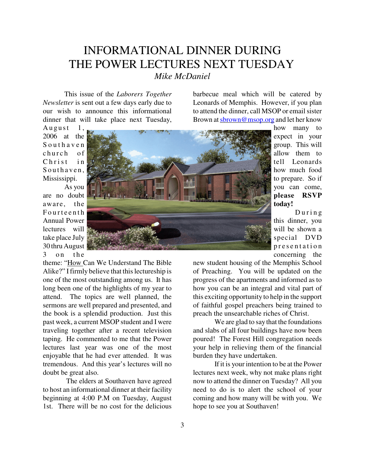# INFORMATIONAL DINNER DURING THE POWER LECTURES NEXT TUESDAY *Mike McDaniel*

This issue of the *Laborers Together Newsletter* is sent out a few days early due to our wish to announce this informational dinner that will take place next Tuesday,

barbecue meal which will be catered by Leonards of Memphis. However, if you plan to attend the dinner, call MSOP or email sister Brown at shrown@msop.org and let her know

August  $1$ , 2006 at the S outh a ven church of  $Christ in$ Southaven, Mississippi.

As you are no doubt aware, the **Fourteenth** Annual Power lectures will take place July 30 thru August  $3$  on the

theme: "How Can We Understand The Bible Alike?" I firmly believe that this lectureship is one of the most outstanding among us. It has long been one of the highlights of my year to attend. The topics are well planned, the sermons are well prepared and presented, and the book is a splendid production. Just this past week, a current MSOP student and I were traveling together after a recent television taping. He commented to me that the Power lectures last year was one of the most enjoyable that he had ever attended. It was tremendous. And this year's lectures will no doubt be great also.

 The elders at Southaven have agreed to host an informational dinner at their facility beginning at 4:00 P.M on Tuesday, August 1st. There will be no cost for the delicious



how many to expect in your group. This will allow them to tell Leonards how much food to prepare. So if you can come, **please RSVP today!**

During this dinner, you will be shown a special DVD p r e s e n t a t i o n concerning the

new student housing of the Memphis School of Preaching. You will be updated on the progress of the apartments and informed as to how you can be an integral and vital part of this exciting opportunity to help in the support of faithful gospel preachers being trained to preach the unsearchable riches of Christ.

We are glad to say that the foundations and slabs of all four buildings have now been poured! The Forest Hill congregation needs your help in relieving them of the financial burden they have undertaken.

If it is your intention to be at the Power lectures next week, why not make plans right now to attend the dinner on Tuesday? All you need to do is to alert the school of your coming and how many will be with you. We hope to see you at Southaven!